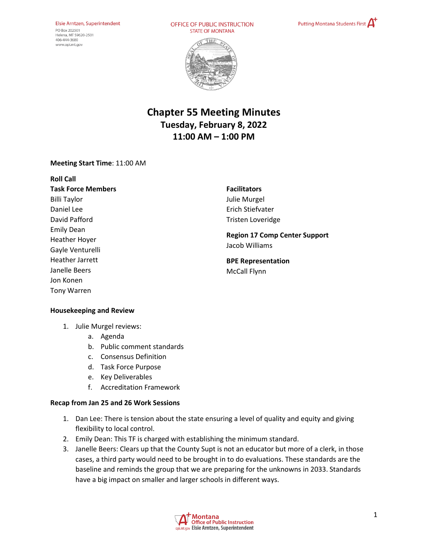#### Elsie Arntzen, Superintendent PO Box 202501 Helena, MT 59620-2501 406-444-3680 www.opi.mt.gov

OFFICE OF PUBLIC INSTRUCTION **STATE OF MONTANA** 





# **Chapter 55 Meeting Minutes Tuesday, February 8, 2022 11:00 AM – 1:00 PM**

### **Meeting Start Time**: 11:00 AM

| <b>Roll Call</b>          |
|---------------------------|
| <b>Task Force Members</b> |
| <b>Billi Taylor</b>       |
| Daniel Lee                |
| David Pafford             |
| Emily Dean                |
| Heather Hoyer             |
| Gayle Venturelli          |
| <b>Heather Jarrett</b>    |
| Janelle Beers             |
| Jon Konen                 |
| <b>Tony Warren</b>        |

**Facilitators**  Julie Murgel Erich Stiefvater Tristen Loveridge

**Region 17 Comp Center Support** Jacob Williams

**BPE Representation**  McCall Flynn

#### **Housekeeping and Review**

- 1. Julie Murgel reviews:
	- a. Agenda
	- b. Public comment standards
	- c. Consensus Definition
	- d. Task Force Purpose
	- e. Key Deliverables
	- f. Accreditation Framework

#### **Recap from Jan 25 and 26 Work Sessions**

- 1. Dan Lee: There is tension about the state ensuring a level of quality and equity and giving flexibility to local control.
- 2. Emily Dean: This TF is charged with establishing the minimum standard.
- 3. Janelle Beers: Clears up that the County Supt is not an educator but more of a clerk, in those cases, a third party would need to be brought in to do evaluations. These standards are the baseline and reminds the group that we are preparing for the unknowns in 2033. Standards have a big impact on smaller and larger schools in different ways.

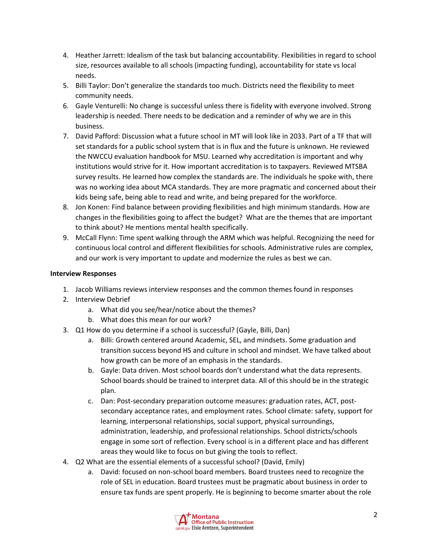- 4. Heather Jarrett: Idealism of the task but balancing accountability. Flexibilities in regard to school size, resources available to all schools (impacting funding), accountability for state vs local needs.
- 5. Billi Taylor: Don't generalize the standards too much. Districts need the flexibility to meet community needs.
- 6. Gayle Venturelli: No change is successful unless there is fidelity with everyone involved. Strong leadership is needed. There needs to be dedication and a reminder of why we are in this business.
- 7. David Pafford: Discussion what a future school in MT will look like in 2033. Part of a TF that will set standards for a public school system that is in flux and the future is unknown. He reviewed the NWCCU evaluation handbook for MSU. Learned why accreditation is important and why institutions would strive for it. How important accreditation is to taxpayers. Reviewed MTSBA survey results. He learned how complex the standards are. The individuals he spoke with, there was no working idea about MCA standards. They are more pragmatic and concerned about their kids being safe, being able to read and write, and being prepared for the workforce.
- 8. Jon Konen: Find balance between providing flexibilities and high minimum standards. How are changes in the flexibilities going to affect the budget? What are the themes that are important to think about? He mentions mental health specifically.
- 9. McCall Flynn: Time spent walking through the ARM which was helpful. Recognizing the need for continuous local control and different flexibilities for schools. Administrative rules are complex, and our work is very important to update and modernize the rules as best we can.

# **Interview Responses**

- 1. Jacob Williams reviews interview responses and the common themes found in responses
- 2. Interview Debrief
	- a. What did you see/hear/notice about the themes?
	- b. What does this mean for our work?
- 3. Q1 How do you determine if a school is successful? (Gayle, Billi, Dan)
	- a. Billi: Growth centered around Academic, SEL, and mindsets. Some graduation and transition success beyond HS and culture in school and mindset. We have talked about how growth can be more of an emphasis in the standards.
	- b. Gayle: Data driven. Most school boards don't understand what the data represents. School boards should be trained to interpret data. All of this should be in the strategic plan.
	- c. Dan: Post-secondary preparation outcome measures: graduation rates, ACT, postsecondary acceptance rates, and employment rates. School climate: safety, support for learning, interpersonal relationships, social support, physical surroundings, administration, leadership, and professional relationships. School districts/schools engage in some sort of reflection. Every school is in a different place and has different areas they would like to focus on but giving the tools to reflect.
- 4. Q2 What are the essential elements of a successful school? (David, Emily)
	- a. David: focused on non-school board members. Board trustees need to recognize the role of SEL in education. Board trustees must be pragmatic about business in order to ensure tax funds are spent properly. He is beginning to become smarter about the role

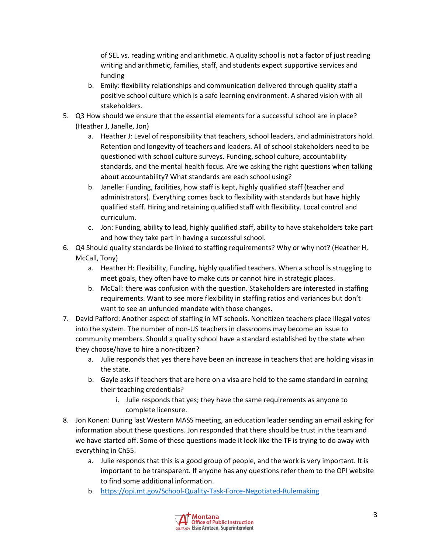of SEL vs. reading writing and arithmetic. A quality school is not a factor of just reading writing and arithmetic, families, staff, and students expect supportive services and funding

- b. Emily: flexibility relationships and communication delivered through quality staff a positive school culture which is a safe learning environment. A shared vision with all stakeholders.
- 5. Q3 How should we ensure that the essential elements for a successful school are in place? (Heather J, Janelle, Jon)
	- a. Heather J: Level of responsibility that teachers, school leaders, and administrators hold. Retention and longevity of teachers and leaders. All of school stakeholders need to be questioned with school culture surveys. Funding, school culture, accountability standards, and the mental health focus. Are we asking the right questions when talking about accountability? What standards are each school using?
	- b. Janelle: Funding, facilities, how staff is kept, highly qualified staff (teacher and administrators). Everything comes back to flexibility with standards but have highly qualified staff. Hiring and retaining qualified staff with flexibility. Local control and curriculum.
	- c. Jon: Funding, ability to lead, highly qualified staff, ability to have stakeholders take part and how they take part in having a successful school.
- 6. Q4 Should quality standards be linked to staffing requirements? Why or why not? (Heather H, McCall, Tony)
	- a. Heather H: Flexibility, Funding, highly qualified teachers. When a school is struggling to meet goals, they often have to make cuts or cannot hire in strategic places.
	- b. McCall: there was confusion with the question. Stakeholders are interested in staffing requirements. Want to see more flexibility in staffing ratios and variances but don't want to see an unfunded mandate with those changes.
- 7. David Pafford: Another aspect of staffing in MT schools. Noncitizen teachers place illegal votes into the system. The number of non-US teachers in classrooms may become an issue to community members. Should a quality school have a standard established by the state when they choose/have to hire a non-citizen?
	- a. Julie responds that yes there have been an increase in teachers that are holding visas in the state.
	- b. Gayle asks if teachers that are here on a visa are held to the same standard in earning their teaching credentials?
		- i. Julie responds that yes; they have the same requirements as anyone to complete licensure.
- 8. Jon Konen: During last Western MASS meeting, an education leader sending an email asking for information about these questions. Jon responded that there should be trust in the team and we have started off. Some of these questions made it look like the TF is trying to do away with everything in Ch55.
	- a. Julie responds that this is a good group of people, and the work is very important. It is important to be transparent. If anyone has any questions refer them to the OPI website to find some additional information.
	- b. <https://opi.mt.gov/School-Quality-Task-Force-Negotiated-Rulemaking>

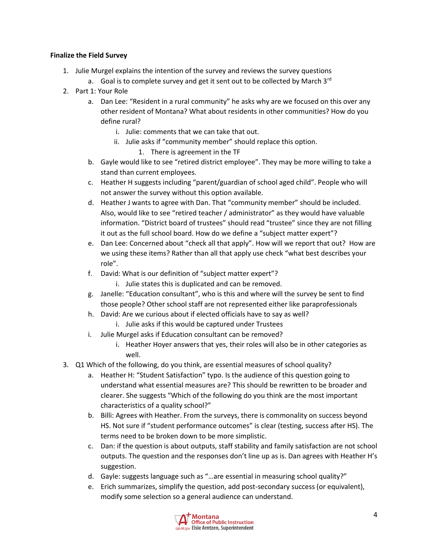## **Finalize the Field Survey**

- 1. Julie Murgel explains the intention of the survey and reviews the survey questions
	- a. Goal is to complete survey and get it sent out to be collected by March 3rd
- 2. Part 1: Your Role
	- a. Dan Lee: "Resident in a rural community" he asks why are we focused on this over any other resident of Montana? What about residents in other communities? How do you define rural?
		- i. Julie: comments that we can take that out.
		- ii. Julie asks if "community member" should replace this option.
			- 1. There is agreement in the TF
	- b. Gayle would like to see "retired district employee". They may be more willing to take a stand than current employees.
	- c. Heather H suggests including "parent/guardian of school aged child". People who will not answer the survey without this option available.
	- d. Heather J wants to agree with Dan. That "community member" should be included. Also, would like to see "retired teacher / administrator" as they would have valuable information. "District board of trustees" should read "trustee" since they are not filling it out as the full school board. How do we define a "subject matter expert"?
	- e. Dan Lee: Concerned about "check all that apply". How will we report that out? How are we using these items? Rather than all that apply use check "what best describes your role".
	- f. David: What is our definition of "subject matter expert"?
		- i. Julie states this is duplicated and can be removed.
	- g. Janelle: "Education consultant", who is this and where will the survey be sent to find those people? Other school staff are not represented either like paraprofessionals
	- h. David: Are we curious about if elected officials have to say as well?
		- i. Julie asks if this would be captured under Trustees
	- i. Julie Murgel asks if Education consultant can be removed?
		- i. Heather Hoyer answers that yes, their roles will also be in other categories as well.
- 3. Q1 Which of the following, do you think, are essential measures of school quality?
	- a. Heather H: "Student Satisfaction" typo. Is the audience of this question going to understand what essential measures are? This should be rewritten to be broader and clearer. She suggests "Which of the following do you think are the most important characteristics of a quality school?"
	- b. Billi: Agrees with Heather. From the surveys, there is commonality on success beyond HS. Not sure if "student performance outcomes" is clear (testing, success after HS). The terms need to be broken down to be more simplistic.
	- c. Dan: if the question is about outputs, staff stability and family satisfaction are not school outputs. The question and the responses don't line up as is. Dan agrees with Heather H's suggestion.
	- d. Gayle: suggests language such as "…are essential in measuring school quality?"
	- e. Erich summarizes, simplify the question, add post-secondary success (or equivalent), modify some selection so a general audience can understand.

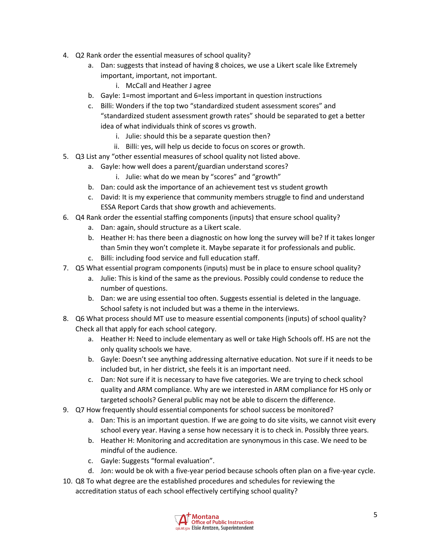- 4. Q2 Rank order the essential measures of school quality?
	- a. Dan: suggests that instead of having 8 choices, we use a Likert scale like Extremely important, important, not important.
		- i. McCall and Heather J agree
	- b. Gayle: 1=most important and 6=less important in question instructions
	- c. Billi: Wonders if the top two "standardized student assessment scores" and "standardized student assessment growth rates" should be separated to get a better idea of what individuals think of scores vs growth.
		- i. Julie: should this be a separate question then?
		- ii. Billi: yes, will help us decide to focus on scores or growth.
- 5. Q3 List any "other essential measures of school quality not listed above.
	- a. Gayle: how well does a parent/guardian understand scores?
		- i. Julie: what do we mean by "scores" and "growth"
	- b. Dan: could ask the importance of an achievement test vs student growth
	- c. David: It is my experience that community members struggle to find and understand ESSA Report Cards that show growth and achievements.
- 6. Q4 Rank order the essential staffing components (inputs) that ensure school quality?
	- a. Dan: again, should structure as a Likert scale.
	- b. Heather H: has there been a diagnostic on how long the survey will be? If it takes longer than 5min they won't complete it. Maybe separate it for professionals and public.
	- c. Billi: including food service and full education staff.
- 7. Q5 What essential program components (inputs) must be in place to ensure school quality?
	- a. Julie: This is kind of the same as the previous. Possibly could condense to reduce the number of questions.
	- b. Dan: we are using essential too often. Suggests essential is deleted in the language. School safety is not included but was a theme in the interviews.
- 8. Q6 What process should MT use to measure essential components (inputs) of school quality? Check all that apply for each school category.
	- a. Heather H: Need to include elementary as well or take High Schools off. HS are not the only quality schools we have.
	- b. Gayle: Doesn't see anything addressing alternative education. Not sure if it needs to be included but, in her district, she feels it is an important need.
	- c. Dan: Not sure if it is necessary to have five categories. We are trying to check school quality and ARM compliance. Why are we interested in ARM compliance for HS only or targeted schools? General public may not be able to discern the difference.
- 9. Q7 How frequently should essential components for school success be monitored?
	- a. Dan: This is an important question. If we are going to do site visits, we cannot visit every school every year. Having a sense how necessary it is to check in. Possibly three years.
	- b. Heather H: Monitoring and accreditation are synonymous in this case. We need to be mindful of the audience.
	- c. Gayle: Suggests "formal evaluation".
	- d. Jon: would be ok with a five-year period because schools often plan on a five-year cycle.
- 10. Q8 To what degree are the established procedures and schedules for reviewing the accreditation status of each school effectively certifying school quality?